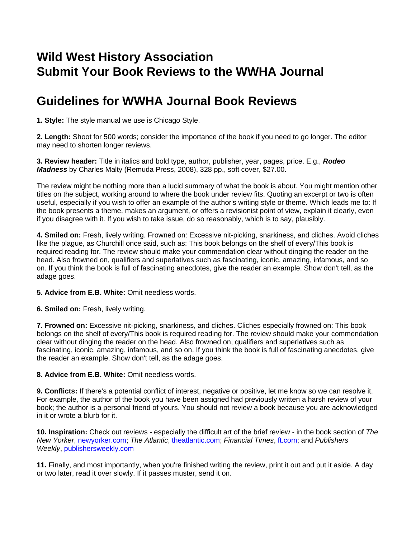## **Wild West History Association Submit Your Book Reviews to the WWHA Journal**

## **Guidelines for WWHA Journal Book Reviews**

**1. Style:** The style manual we use is Chicago Style.

**2. Length:** Shoot for 500 words; consider the importance of the book if you need to go longer. The editor may need to shorten longer reviews.

**3. Review header:** Title in italics and bold type, author, publisher, year, pages, price. E.g., *Rodeo Madness* by Charles Malty (Remuda Press, 2008), 328 pp., soft cover, \$27.00.

The review might be nothing more than a lucid summary of what the book is about. You might mention other titles on the subject, working around to where the book under review fits. Quoting an excerpt or two is often useful, especially if you wish to offer an example of the author's writing style or theme. Which leads me to: If the book presents a theme, makes an argument, or offers a revisionist point of view, explain it clearly, even if you disagree with it. If you wish to take issue, do so reasonably, which is to say, plausibly.

**4. Smiled on:** Fresh, lively writing. Frowned on: Excessive nit-picking, snarkiness, and cliches. Avoid cliches like the plague, as Churchill once said, such as: This book belongs on the shelf of every/This book is required reading for. The review should make your commendation clear without dinging the reader on the head. Also frowned on, qualifiers and superlatives such as fascinating, iconic, amazing, infamous, and so on. If you think the book is full of fascinating anecdotes, give the reader an example. Show don't tell, as the adage goes.

## **5. Advice from E.B. White:** Omit needless words.

**6. Smiled on:** Fresh, lively writing.

**7. Frowned on:** Excessive nit-picking, snarkiness, and cliches. Cliches especially frowned on: This book belongs on the shelf of every/This book is required reading for. The review should make your commendation clear without dinging the reader on the head. Also frowned on, qualifiers and superlatives such as fascinating, iconic, amazing, infamous, and so on. If you think the book is full of fascinating anecdotes, give the reader an example. Show don't tell, as the adage goes.

## **8. Advice from E.B. White:** Omit needless words.

**9. Conflicts:** If there's a potential conflict of interest, negative or positive, let me know so we can resolve it. For example, the author of the book you have been assigned had previously written a harsh review of your book; the author is a personal friend of yours. You should not review a book because you are acknowledged in it or wrote a blurb for it.

**10. Inspiration:** Check out reviews - especially the difficult art of the brief review - in the book section of *The New Yorker*, [newyorker.com;](http://www.newyorker.com/) *The Atlantic*, [theatlantic.com;](http://www.theatlantic.com/) *Financial Times*, [ft.com;](http://www.ft.com/) and *Publishers Weekly*, [publishersweekly.com](http://www.publishersweekly.com/)

**11.** Finally, and most importantly, when you're finished writing the review, print it out and put it aside. A day or two later, read it over slowly. If it passes muster, send it on.